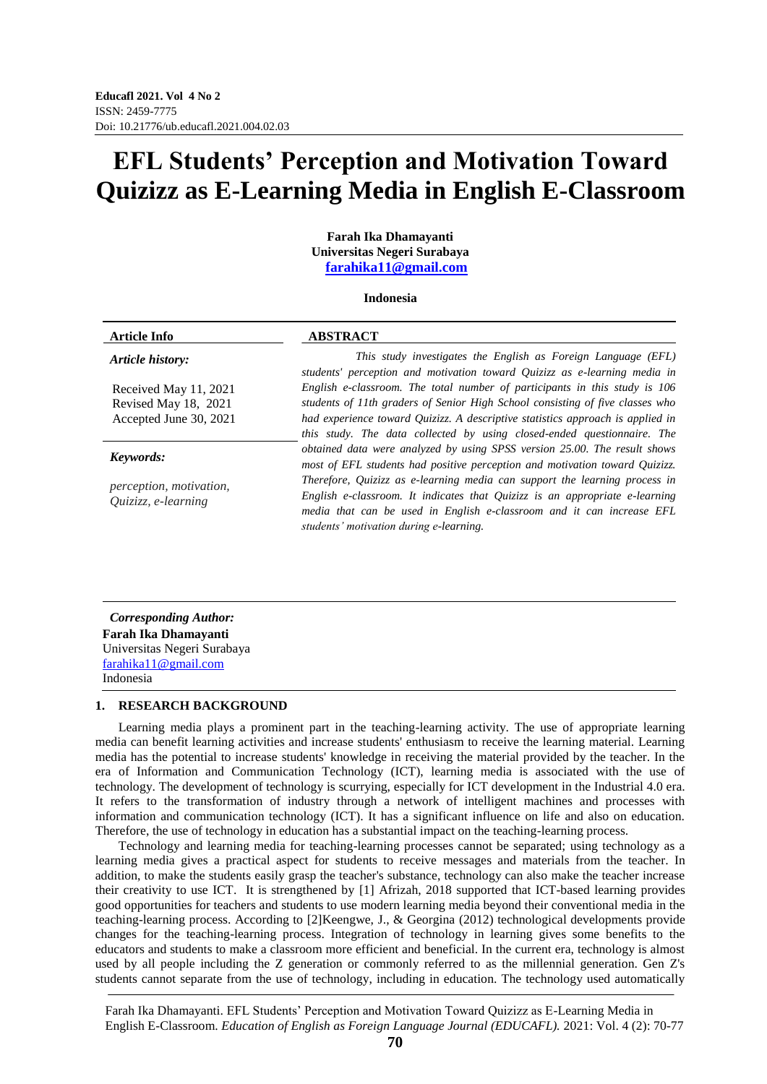# **EFL Students' Perception and Motivation Toward Quizizz as E-Learning Media in English E-Classroom**

**Farah Ika Dhamayanti Universitas Negeri Surabaya [farahika11@gmail.com](mailto:farahika11@gmail.com)**

#### **Indonesia**

| <b>ABSTRACT</b>                                                                                                                                                                                                                                                                                                          |
|--------------------------------------------------------------------------------------------------------------------------------------------------------------------------------------------------------------------------------------------------------------------------------------------------------------------------|
| This study investigates the English as Foreign Language (EFL)<br>students' perception and motivation toward Quizizz as e-learning media in                                                                                                                                                                               |
| English e-classroom. The total number of participants in this study is 106<br>students of 11th graders of Senior High School consisting of five classes who<br>had experience toward Quizizz. A descriptive statistics approach is applied in<br>this study. The data collected by using closed-ended questionnaire. The |
| obtained data were analyzed by using SPSS version 25.00. The result shows<br>most of EFL students had positive perception and motivation toward Quizizz.                                                                                                                                                                 |
| Therefore, Quizizz as e-learning media can support the learning process in<br>English e-classroom. It indicates that Quizizz is an appropriate e-learning<br>media that can be used in English e-classroom and it can increase EFL<br>students' motivation during e-learning.                                            |
|                                                                                                                                                                                                                                                                                                                          |

*Corresponding Author:* **Farah Ika Dhamayanti** Universitas Negeri Surabaya [farahika11@gmail.com](mailto:farahika11@gmail.com) Indonesia

# **1. RESEARCH BACKGROUND**

Learning media plays a prominent part in the teaching-learning activity. The use of appropriate learning media can benefit learning activities and increase students' enthusiasm to receive the learning material. Learning media has the potential to increase students' knowledge in receiving the material provided by the teacher. In the era of Information and Communication Technology (ICT), learning media is associated with the use of technology. The development of technology is scurrying, especially for ICT development in the Industrial 4.0 era. It refers to the transformation of industry through a network of intelligent machines and processes with information and communication technology (ICT). It has a significant influence on life and also on education. Therefore, the use of technology in education has a substantial impact on the teaching-learning process.

Technology and learning media for teaching-learning processes cannot be separated; using technology as a learning media gives a practical aspect for students to receive messages and materials from the teacher. In addition, to make the students easily grasp the teacher's substance, technology can also make the teacher increase their creativity to use ICT. It is strengthened by [1] Afrizah, 2018 supported that ICT-based learning provides good opportunities for teachers and students to use modern learning media beyond their conventional media in the teaching-learning process. According to [2]Keengwe, J., & Georgina (2012) technological developments provide changes for the teaching-learning process. Integration of technology in learning gives some benefits to the educators and students to make a classroom more efficient and beneficial. In the current era, technology is almost used by all people including the Z generation or commonly referred to as the millennial generation. Gen Z's students cannot separate from the use of technology, including in education. The technology used automatically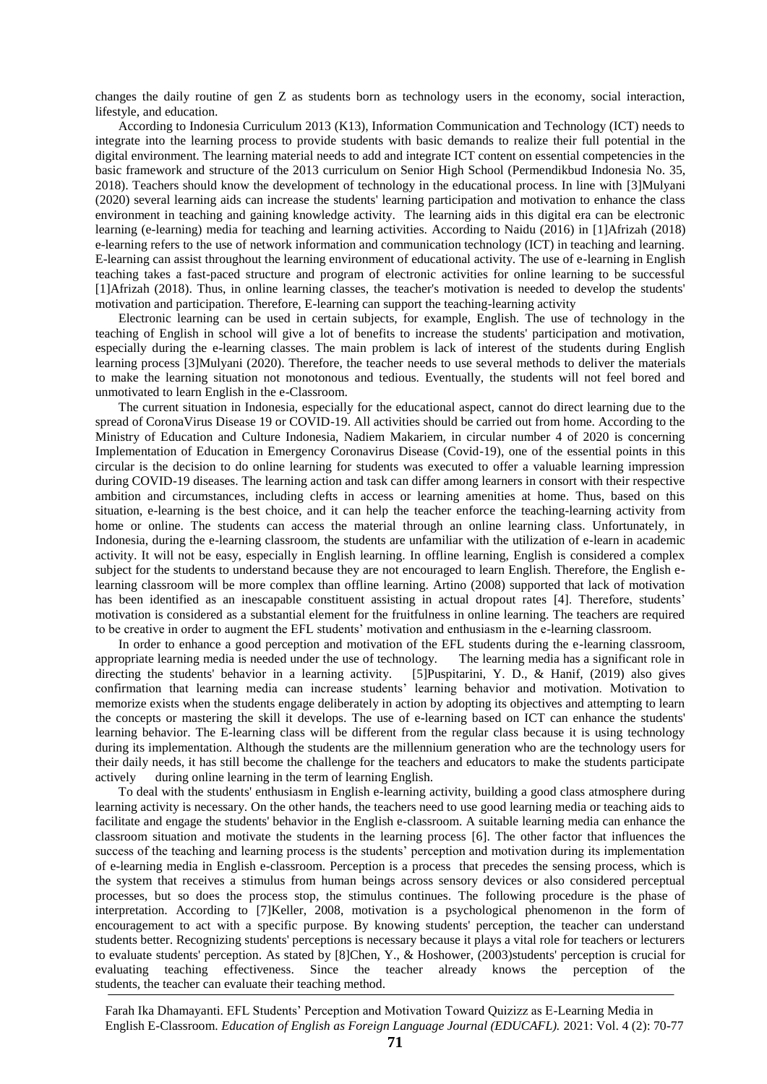changes the daily routine of gen Z as students born as technology users in the economy, social interaction, lifestyle, and education.

According to Indonesia Curriculum 2013 (K13), Information Communication and Technology (ICT) needs to integrate into the learning process to provide students with basic demands to realize their full potential in the digital environment. The learning material needs to add and integrate ICT content on essential competencies in the basic framework and structure of the 2013 curriculum on Senior High School (Permendikbud Indonesia No. 35, 2018). Teachers should know the development of technology in the educational process. In line with [3]Mulyani (2020) several learning aids can increase the students' learning participation and motivation to enhance the class environment in teaching and gaining knowledge activity. The learning aids in this digital era can be electronic learning (e-learning) media for teaching and learning activities. According to Naidu (2016) in [1]Afrizah (2018) e-learning refers to the use of network information and communication technology (ICT) in teaching and learning. E-learning can assist throughout the learning environment of educational activity. The use of e-learning in English teaching takes a fast-paced structure and program of electronic activities for online learning to be successful [1]Afrizah (2018). Thus, in online learning classes, the teacher's motivation is needed to develop the students' motivation and participation. Therefore, E-learning can support the teaching-learning activity

Electronic learning can be used in certain subjects, for example, English. The use of technology in the teaching of English in school will give a lot of benefits to increase the students' participation and motivation, especially during the e-learning classes. The main problem is lack of interest of the students during English learning process [3]Mulyani (2020). Therefore, the teacher needs to use several methods to deliver the materials to make the learning situation not monotonous and tedious. Eventually, the students will not feel bored and unmotivated to learn English in the e-Classroom.

The current situation in Indonesia, especially for the educational aspect, cannot do direct learning due to the spread of CoronaVirus Disease 19 or COVID-19. All activities should be carried out from home. According to the Ministry of Education and Culture Indonesia, Nadiem Makariem, in circular number 4 of 2020 is concerning Implementation of Education in Emergency Coronavirus Disease (Covid-19), one of the essential points in this circular is the decision to do online learning for students was executed to offer a valuable learning impression during COVID-19 diseases. The learning action and task can differ among learners in consort with their respective ambition and circumstances, including clefts in access or learning amenities at home. Thus, based on this situation, e-learning is the best choice, and it can help the teacher enforce the teaching-learning activity from home or online. The students can access the material through an online learning class. Unfortunately, in Indonesia, during the e-learning classroom, the students are unfamiliar with the utilization of e-learn in academic activity. It will not be easy, especially in English learning. In offline learning, English is considered a complex subject for the students to understand because they are not encouraged to learn English. Therefore, the English elearning classroom will be more complex than offline learning. Artino (2008) supported that lack of motivation has been identified as an inescapable constituent assisting in actual dropout rates [4]. Therefore, students' motivation is considered as a substantial element for the fruitfulness in online learning. The teachers are required to be creative in order to augment the EFL students' motivation and enthusiasm in the e-learning classroom.

In order to enhance a good perception and motivation of the EFL students during the e-learning classroom, appropriate learning media is needed under the use of technology. The learning media has a significant role in directing the students' behavior in a learning activity. [5]Puspitarini, Y. D., & Hanif, (2019) also gives confirmation that learning media can increase students' learning behavior and motivation. Motivation to memorize exists when the students engage deliberately in action by adopting its objectives and attempting to learn the concepts or mastering the skill it develops. The use of e-learning based on ICT can enhance the students' learning behavior. The E-learning class will be different from the regular class because it is using technology during its implementation. Although the students are the millennium generation who are the technology users for their daily needs, it has still become the challenge for the teachers and educators to make the students participate actively during online learning in the term of learning English.

To deal with the students' enthusiasm in English e-learning activity, building a good class atmosphere during learning activity is necessary. On the other hands, the teachers need to use good learning media or teaching aids to facilitate and engage the students' behavior in the English e-classroom. A suitable learning media can enhance the classroom situation and motivate the students in the learning process [6]. The other factor that influences the success of the teaching and learning process is the students' perception and motivation during its implementation of e-learning media in English e-classroom. Perception is a process that precedes the sensing process, which is the system that receives a stimulus from human beings across sensory devices or also considered perceptual processes, but so does the process stop, the stimulus continues. The following procedure is the phase of interpretation. According to [7]Keller, 2008, motivation is a psychological phenomenon in the form of encouragement to act with a specific purpose. By knowing students' perception, the teacher can understand students better. Recognizing students' perceptions is necessary because it plays a vital role for teachers or lecturers to evaluate students' perception. As stated by [8]Chen, Y., & Hoshower, (2003)students' perception is crucial for evaluating teaching effectiveness. Since the teacher already knows the perception of the students, the teacher can evaluate their teaching method.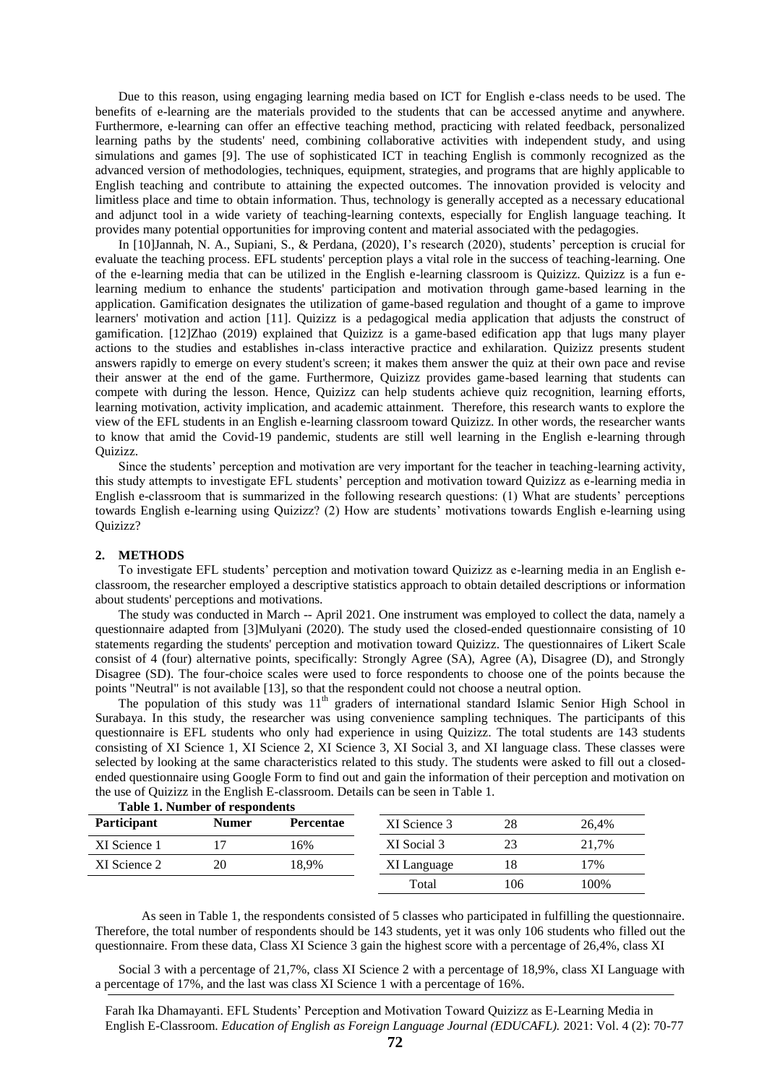Due to this reason, using engaging learning media based on ICT for English e-class needs to be used. The benefits of e-learning are the materials provided to the students that can be accessed anytime and anywhere. Furthermore, e-learning can offer an effective teaching method, practicing with related feedback, personalized learning paths by the students' need, combining collaborative activities with independent study, and using simulations and games [9]. The use of sophisticated ICT in teaching English is commonly recognized as the advanced version of methodologies, techniques, equipment, strategies, and programs that are highly applicable to English teaching and contribute to attaining the expected outcomes. The innovation provided is velocity and limitless place and time to obtain information. Thus, technology is generally accepted as a necessary educational and adjunct tool in a wide variety of teaching-learning contexts, especially for English language teaching. It provides many potential opportunities for improving content and material associated with the pedagogies.

In [10]Jannah, N. A., Supiani, S., & Perdana, (2020), I's research (2020), students' perception is crucial for evaluate the teaching process. EFL students' perception plays a vital role in the success of teaching-learning. One of the e-learning media that can be utilized in the English e-learning classroom is Quizizz. Quizizz is a fun elearning medium to enhance the students' participation and motivation through game-based learning in the application. Gamification designates the utilization of game-based regulation and thought of a game to improve learners' motivation and action [11]. Quizizz is a pedagogical media application that adjusts the construct of gamification. [12]Zhao (2019) explained that Quizizz is a game-based edification app that lugs many player actions to the studies and establishes in-class interactive practice and exhilaration. Quizizz presents student answers rapidly to emerge on every student's screen; it makes them answer the quiz at their own pace and revise their answer at the end of the game. Furthermore, Quizizz provides game-based learning that students can compete with during the lesson. Hence, Quizizz can help students achieve quiz recognition, learning efforts, learning motivation, activity implication, and academic attainment. Therefore, this research wants to explore the view of the EFL students in an English e-learning classroom toward Quizizz. In other words, the researcher wants to know that amid the Covid-19 pandemic, students are still well learning in the English e-learning through Quizizz.

Since the students' perception and motivation are very important for the teacher in teaching-learning activity, this study attempts to investigate EFL students' perception and motivation toward Quizizz as e-learning media in English e-classroom that is summarized in the following research questions: (1) What are students' perceptions towards English e-learning using Quizizz? (2) How are students' motivations towards English e-learning using Quizizz?

#### **2. METHODS**

To investigate EFL students' perception and motivation toward Quizizz as e-learning media in an English eclassroom, the researcher employed a descriptive statistics approach to obtain detailed descriptions or information about students' perceptions and motivations.

The study was conducted in March -- April 2021. One instrument was employed to collect the data, namely a questionnaire adapted from [3]Mulyani (2020). The study used the closed-ended questionnaire consisting of 10 statements regarding the students' perception and motivation toward Quizizz. The questionnaires of Likert Scale consist of 4 (four) alternative points, specifically: Strongly Agree (SA), Agree (A), Disagree (D), and Strongly Disagree (SD). The four-choice scales were used to force respondents to choose one of the points because the points "Neutral" is not available [13], so that the respondent could not choose a neutral option.

The population of this study was  $11<sup>th</sup>$  graders of international standard Islamic Senior High School in Surabaya. In this study, the researcher was using convenience sampling techniques. The participants of this questionnaire is EFL students who only had experience in using Quizizz. The total students are 143 students consisting of XI Science 1, XI Science 2, XI Science 3, XI Social 3, and XI language class. These classes were selected by looking at the same characteristics related to this study. The students were asked to fill out a closedended questionnaire using Google Form to find out and gain the information of their perception and motivation on the use of Quizizz in the English E-classroom. Details can be seen in Table 1.

|                    | <b>Table 1. Number of respondents</b> |       |              |      |       |  |
|--------------------|---------------------------------------|-------|--------------|------|-------|--|
| <b>Participant</b> | <b>Numer</b><br><b>Percentae</b>      |       | XI Science 3 | 28   | 26.4% |  |
| XI Science 1       |                                       | 16%   | XI Social 3  | 23   | 21.7% |  |
| XI Science 2       | 20                                    | 18.9% | XI Language  | 18   | 17%   |  |
|                    |                                       | Total | 106          | 100% |       |  |

**Table 1. Number of respondents**

As seen in Table 1, the respondents consisted of 5 classes who participated in fulfilling the questionnaire. Therefore, the total number of respondents should be 143 students, yet it was only 106 students who filled out the questionnaire. From these data, Class XI Science 3 gain the highest score with a percentage of 26,4%, class XI

Social 3 with a percentage of 21,7%, class XI Science 2 with a percentage of 18,9%, class XI Language with a percentage of 17%, and the last was class XI Science 1 with a percentage of 16%.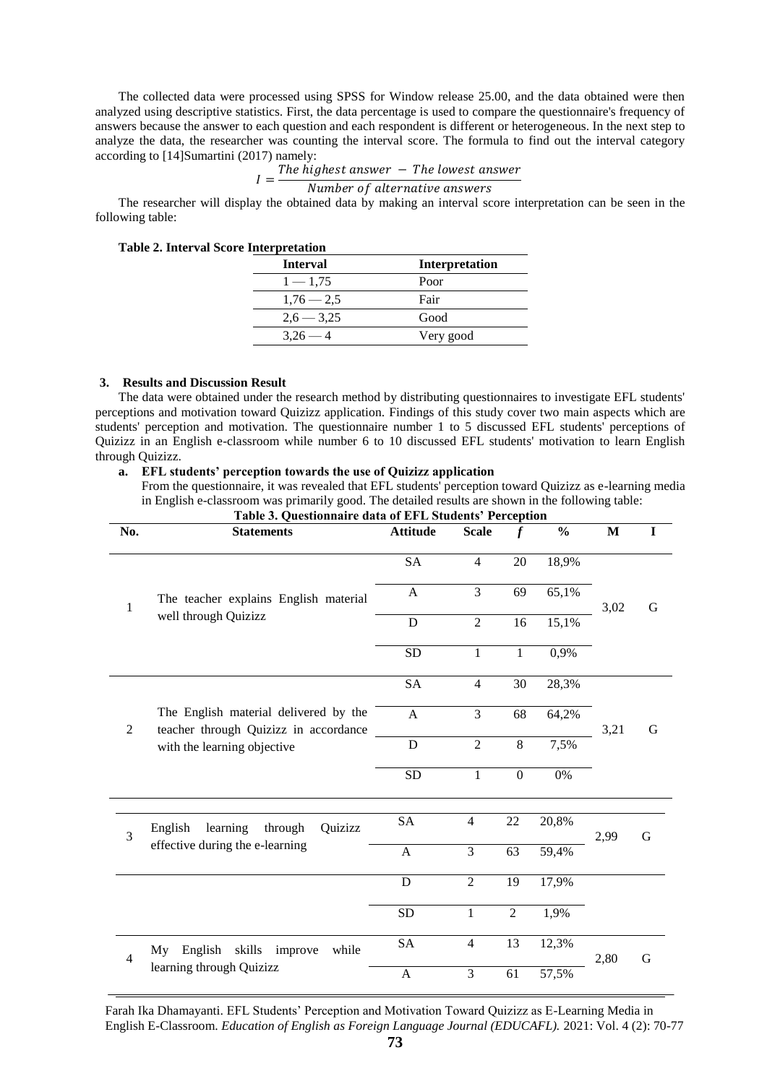The collected data were processed using SPSS for Window release 25.00, and the data obtained were then analyzed using descriptive statistics. First, the data percentage is used to compare the questionnaire's frequency of answers because the answer to each question and each respondent is different or heterogeneous. In the next step to analyze the data, the researcher was counting the interval score. The formula to find out the interval category according to [14]Sumartini (2017) namely:

 $I=\frac{T}{t}$ 

Number of alternative answers

The researcher will display the obtained data by making an interval score interpretation can be seen in the following table:

| е шитргешили    |                       |
|-----------------|-----------------------|
| <b>Interval</b> | <b>Interpretation</b> |
| $1 - 1,75$      | Poor                  |
| $1,76 - 2,5$    | Fair                  |
| $2,6 - 3,25$    | Good                  |
| $3.26 - 4$      | Very good             |
|                 |                       |

# **Table 2. Interval Score Interpretation**

#### **3. Results and Discussion Result**

The data were obtained under the research method by distributing questionnaires to investigate EFL students' perceptions and motivation toward Quizizz application. Findings of this study cover two main aspects which are students' perception and motivation. The questionnaire number 1 to 5 discussed EFL students' perceptions of Quizizz in an English e-classroom while number 6 to 10 discussed EFL students' motivation to learn English through Quizizz.

**a. EFL students' perception towards the use of Quizizz application**

From the questionnaire, it was revealed that EFL students' perception toward Quizizz as e-learning media in English e-classroom was primarily good. The detailed results are shown in the following table: **Table 3. Questionnaire data of EFL Students' Perception**

| No.            | <b>Statements</b>                                                                                             | <b>Attitude</b>                                 | <b>Scale</b>   | $\boldsymbol{f}$ | $\frac{0}{0}$ | M    | I |
|----------------|---------------------------------------------------------------------------------------------------------------|-------------------------------------------------|----------------|------------------|---------------|------|---|
|                |                                                                                                               | <b>SA</b>                                       | $\overline{4}$ | 20               | 18,9%         |      |   |
| 1              | The teacher explains English material                                                                         | A                                               | 3              | 69               | 65,1%         | 3,02 | G |
|                | well through Quizizz                                                                                          | D                                               | $\overline{2}$ | 16               | 15,1%         |      |   |
|                |                                                                                                               | <b>SD</b>                                       | 1              | 1                | 0,9%          |      |   |
|                |                                                                                                               | <b>SA</b>                                       | $\overline{4}$ | 30               | 28,3%         |      |   |
| $\mathfrak{2}$ | The English material delivered by the<br>teacher through Quizizz in accordance<br>with the learning objective | A                                               | 3              | 68               | 64,2%         | 3,21 | G |
|                |                                                                                                               | $\overline{8}$<br>$\mathbf D$<br>$\overline{2}$ | 7,5%           |                  |               |      |   |
|                |                                                                                                               | <b>SD</b>                                       | $\mathbf{1}$   | $\mathbf{0}$     | 0%            |      |   |
| $\overline{3}$ | learning<br>through<br>Quizizz<br>English                                                                     | <b>SA</b>                                       | $\overline{4}$ | 22               | 20,8%         | 2,99 | G |
|                | effective during the e-learning                                                                               | $\mathbf{A}$                                    | 3              | 63               | 59,4%         |      |   |
|                |                                                                                                               | D                                               | $\overline{2}$ | 19               | 17,9%         |      |   |
|                |                                                                                                               | <b>SD</b>                                       | $\mathbf{1}$   | $\overline{2}$   | 1,9%          |      |   |
| $\overline{4}$ | skills<br>English<br>while<br>My<br>improve                                                                   | <b>SA</b>                                       | $\overline{4}$ | 13               | 12,3%         | 2,80 | G |
|                | learning through Quizizz                                                                                      | $\mathbf{A}$                                    | 3              | 61               | 57,5%         |      |   |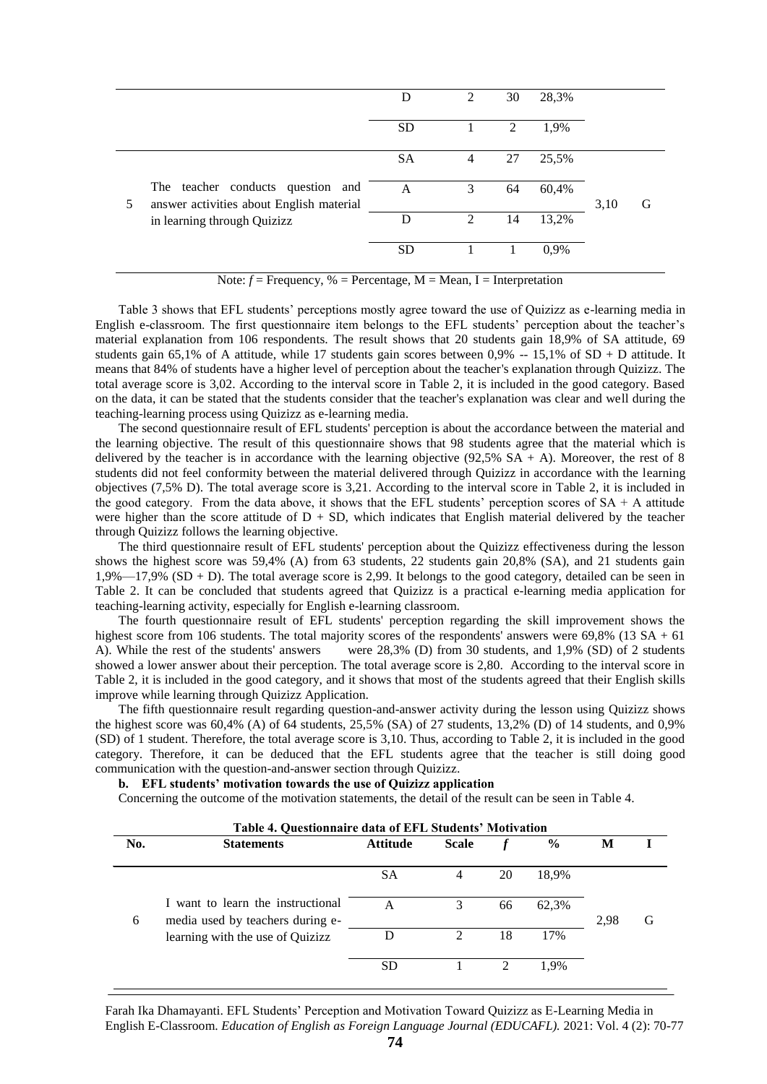|   |                                                                               | D         | $\mathcal{L}$ | 30 | 28,3% |      |   |
|---|-------------------------------------------------------------------------------|-----------|---------------|----|-------|------|---|
|   |                                                                               | <b>SD</b> |               | 2  | 1,9%  |      |   |
|   |                                                                               | <b>SA</b> | 4             | 27 | 25,5% |      |   |
| 5 | The teacher conducts question and<br>answer activities about English material | A         | 3             | 64 | 60,4% | 3,10 | G |
|   | in learning through Quizizz                                                   | D         | 2             | 14 | 13,2% |      |   |
|   |                                                                               | <b>SD</b> |               |    | 0,9%  |      |   |

Note:  $f =$  Frequency,  $\% =$  Percentage, M = Mean, I = Interpretation

Table 3 shows that EFL students' perceptions mostly agree toward the use of Quizizz as e-learning media in English e-classroom. The first questionnaire item belongs to the EFL students' perception about the teacher's material explanation from 106 respondents. The result shows that 20 students gain 18,9% of SA attitude, 69 students gain 65,1% of A attitude, while 17 students gain scores between 0,9% -- 15,1% of SD + D attitude. It means that 84% of students have a higher level of perception about the teacher's explanation through Quizizz. The total average score is 3,02. According to the interval score in Table 2, it is included in the good category. Based on the data, it can be stated that the students consider that the teacher's explanation was clear and well during the teaching-learning process using Quizizz as e-learning media.

The second questionnaire result of EFL students' perception is about the accordance between the material and the learning objective. The result of this questionnaire shows that 98 students agree that the material which is delivered by the teacher is in accordance with the learning objective  $(92,5\%$  SA + A). Moreover, the rest of 8 students did not feel conformity between the material delivered through Quizizz in accordance with the learning objectives (7,5% D). The total average score is 3,21. According to the interval score in Table 2, it is included in the good category. From the data above, it shows that the EFL students' perception scores of  $SA + A$  attitude were higher than the score attitude of  $D + SD$ , which indicates that English material delivered by the teacher through Quizizz follows the learning objective.

The third questionnaire result of EFL students' perception about the Quizizz effectiveness during the lesson shows the highest score was 59,4% (A) from 63 students, 22 students gain 20,8% (SA), and 21 students gain 1,9%—17,9% (SD + D). The total average score is 2,99. It belongs to the good category, detailed can be seen in Table 2. It can be concluded that students agreed that Quizizz is a practical e-learning media application for teaching-learning activity, especially for English e-learning classroom.

The fourth questionnaire result of EFL students' perception regarding the skill improvement shows the highest score from 106 students. The total majority scores of the respondents' answers were 69,8% (13 SA + 61) A). While the rest of the students' answers were 28,3% (D) from 30 students, and 1,9% (SD) of 2 students showed a lower answer about their perception. The total average score is 2,80. According to the interval score in Table 2, it is included in the good category, and it shows that most of the students agreed that their English skills improve while learning through Quizizz Application.

The fifth questionnaire result regarding question-and-answer activity during the lesson using Quizizz shows the highest score was 60,4% (A) of 64 students, 25,5% (SA) of 27 students, 13,2% (D) of 14 students, and 0,9% (SD) of 1 student. Therefore, the total average score is 3,10. Thus, according to Table 2, it is included in the good category. Therefore, it can be deduced that the EFL students agree that the teacher is still doing good communication with the question-and-answer section through Quizizz.

### **b. EFL students' motivation towards the use of Quizizz application**

Concerning the outcome of the motivation statements, the detail of the result can be seen in Table 4.

|     | Table 4. Ouestionnaire data of EFL Students' Motivation                                                   |           |              |                             |               |      |   |  |
|-----|-----------------------------------------------------------------------------------------------------------|-----------|--------------|-----------------------------|---------------|------|---|--|
| No. | <b>Statements</b>                                                                                         | Attitude  | <b>Scale</b> |                             | $\frac{6}{9}$ | M    |   |  |
|     |                                                                                                           | <b>SA</b> | 4            | 20                          | 18.9%         |      |   |  |
| 6   | I want to learn the instructional<br>media used by teachers during e-<br>learning with the use of Quizizz | A         |              | 66                          | 62.3%         | 2.98 | G |  |
|     |                                                                                                           |           | 2            | 18                          | 17%           |      |   |  |
|     |                                                                                                           | SD        |              | $\mathcal{D}_{\mathcal{L}}$ | 1.9%          |      |   |  |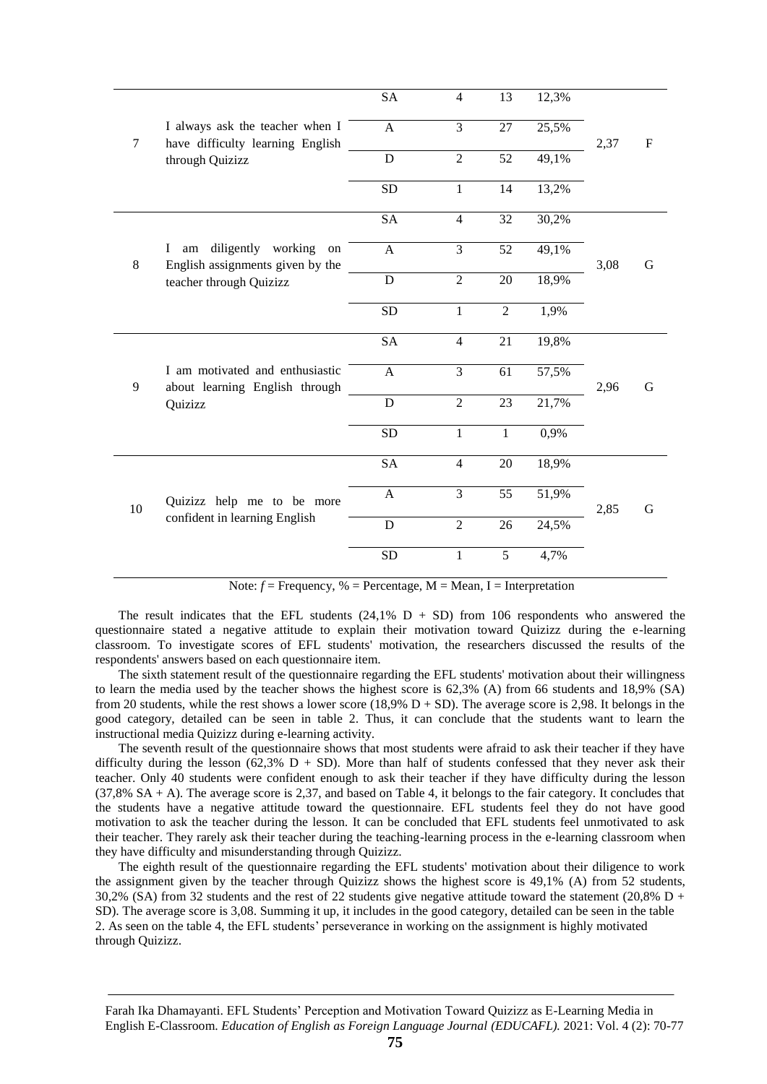|        |                                                                         | <b>SA</b>    | 4              | 13              | 12,3% |      |              |
|--------|-------------------------------------------------------------------------|--------------|----------------|-----------------|-------|------|--------------|
| $\tau$ | I always ask the teacher when I<br>have difficulty learning English     | $\mathbf{A}$ | $\overline{3}$ | 27              | 25,5% | 2,37 | $\mathbf{F}$ |
|        | through Quizizz                                                         | D            | $\overline{2}$ | $\overline{52}$ | 49,1% |      |              |
|        |                                                                         | <b>SD</b>    | $\mathbf{1}$   | 14              | 13,2% |      |              |
|        |                                                                         | <b>SA</b>    | $\overline{4}$ | 32              | 30,2% |      |              |
| 8      | diligently working<br>L<br>am<br>on<br>English assignments given by the | $\mathbf{A}$ | 3              | 52              | 49,1% | 3,08 | G            |
|        | teacher through Quizizz                                                 | D            | $\overline{2}$ | 20              | 18,9% |      |              |
|        |                                                                         | <b>SD</b>    | 1              | $\overline{2}$  | 1,9%  |      |              |
|        |                                                                         | <b>SA</b>    | $\overline{4}$ | 21              | 19,8% |      |              |
| 9      | I am motivated and enthusiastic<br>about learning English through       | $\mathbf{A}$ | $\overline{3}$ | 61              | 57,5% | 2,96 | G            |
|        | Quizizz                                                                 | D            | $\overline{2}$ | 23              | 21,7% |      |              |
|        |                                                                         | <b>SD</b>    | $\mathbf{1}$   | $\mathbf{1}$    | 0,9%  |      |              |
|        |                                                                         | <b>SA</b>    | $\overline{4}$ | 20              | 18,9% |      |              |
| 10     | Quizizz help me to be more<br>confident in learning English             | A            | 3              | 55              | 51,9% | 2,85 | G            |
|        |                                                                         | $\mathbf D$  | $\overline{2}$ | 26              | 24,5% |      |              |
|        |                                                                         | <b>SD</b>    | $\mathbf{1}$   | 5               | 4,7%  |      |              |

Note:  $f =$  Frequency,  $%$  = Percentage,  $M =$  Mean, I = Interpretation

The result indicates that the EFL students  $(24.1\% \text{ D} + \text{SD})$  from 106 respondents who answered the questionnaire stated a negative attitude to explain their motivation toward Quizizz during the e-learning classroom. To investigate scores of EFL students' motivation, the researchers discussed the results of the respondents' answers based on each questionnaire item.

The sixth statement result of the questionnaire regarding the EFL students' motivation about their willingness to learn the media used by the teacher shows the highest score is 62,3% (A) from 66 students and 18,9% (SA) from 20 students, while the rest shows a lower score (18,9%  $D + SD$ ). The average score is 2,98. It belongs in the good category, detailed can be seen in table 2. Thus, it can conclude that the students want to learn the instructional media Quizizz during e-learning activity.

The seventh result of the questionnaire shows that most students were afraid to ask their teacher if they have difficulty during the lesson (62,3% D + SD). More than half of students confessed that they never ask their teacher. Only 40 students were confident enough to ask their teacher if they have difficulty during the lesson (37,8% SA + A). The average score is 2,37, and based on Table 4, it belongs to the fair category. It concludes that the students have a negative attitude toward the questionnaire. EFL students feel they do not have good motivation to ask the teacher during the lesson. It can be concluded that EFL students feel unmotivated to ask their teacher. They rarely ask their teacher during the teaching-learning process in the e-learning classroom when they have difficulty and misunderstanding through Quizizz.

The eighth result of the questionnaire regarding the EFL students' motivation about their diligence to work the assignment given by the teacher through Quizizz shows the highest score is 49,1% (A) from 52 students, 30,2% (SA) from 32 students and the rest of 22 students give negative attitude toward the statement (20,8% D + SD). The average score is 3,08. Summing it up, it includes in the good category, detailed can be seen in the table 2. As seen on the table 4, the EFL students' perseverance in working on the assignment is highly motivated through Quizizz.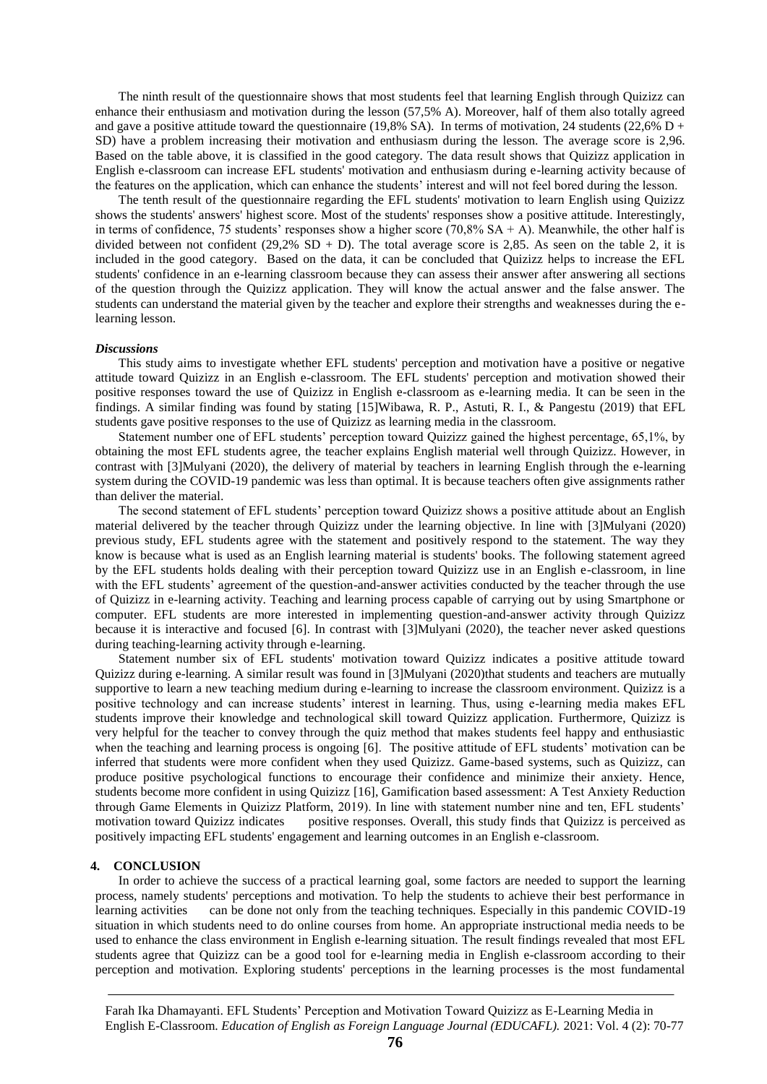The ninth result of the questionnaire shows that most students feel that learning English through Quizizz can enhance their enthusiasm and motivation during the lesson (57,5% A). Moreover, half of them also totally agreed and gave a positive attitude toward the questionnaire (19,8% SA). In terms of motivation, 24 students (22,6% D + SD) have a problem increasing their motivation and enthusiasm during the lesson. The average score is 2,96. Based on the table above, it is classified in the good category. The data result shows that Quizizz application in English e-classroom can increase EFL students' motivation and enthusiasm during e-learning activity because of the features on the application, which can enhance the students' interest and will not feel bored during the lesson.

The tenth result of the questionnaire regarding the EFL students' motivation to learn English using Quizizz shows the students' answers' highest score. Most of the students' responses show a positive attitude. Interestingly, in terms of confidence, 75 students' responses show a higher score (70,8%  $SA + A$ ). Meanwhile, the other half is divided between not confident (29,2% SD + D). The total average score is 2,85. As seen on the table 2, it is included in the good category. Based on the data, it can be concluded that Quizizz helps to increase the EFL students' confidence in an e-learning classroom because they can assess their answer after answering all sections of the question through the Quizizz application. They will know the actual answer and the false answer. The students can understand the material given by the teacher and explore their strengths and weaknesses during the elearning lesson.

#### *Discussions*

This study aims to investigate whether EFL students' perception and motivation have a positive or negative attitude toward Quizizz in an English e-classroom. The EFL students' perception and motivation showed their positive responses toward the use of Quizizz in English e-classroom as e-learning media. It can be seen in the findings. A similar finding was found by stating [15]Wibawa, R. P., Astuti, R. I., & Pangestu (2019) that EFL students gave positive responses to the use of Quizizz as learning media in the classroom.

Statement number one of EFL students' perception toward Quizizz gained the highest percentage, 65,1%, by obtaining the most EFL students agree, the teacher explains English material well through Quizizz. However, in contrast with [3]Mulyani (2020), the delivery of material by teachers in learning English through the e-learning system during the COVID-19 pandemic was less than optimal. It is because teachers often give assignments rather than deliver the material.

The second statement of EFL students' perception toward Quizizz shows a positive attitude about an English material delivered by the teacher through Quizizz under the learning objective. In line with [3]Mulyani (2020) previous study, EFL students agree with the statement and positively respond to the statement. The way they know is because what is used as an English learning material is students' books. The following statement agreed by the EFL students holds dealing with their perception toward Quizizz use in an English e-classroom, in line with the EFL students' agreement of the question-and-answer activities conducted by the teacher through the use of Quizizz in e-learning activity. Teaching and learning process capable of carrying out by using Smartphone or computer. EFL students are more interested in implementing question-and-answer activity through Quizizz because it is interactive and focused [6]. In contrast with [3]Mulyani (2020), the teacher never asked questions during teaching-learning activity through e-learning.

Statement number six of EFL students' motivation toward Quizizz indicates a positive attitude toward Quizizz during e-learning. A similar result was found in [3]Mulyani (2020)that students and teachers are mutually supportive to learn a new teaching medium during e-learning to increase the classroom environment. Quizizz is a positive technology and can increase students' interest in learning. Thus, using e-learning media makes EFL students improve their knowledge and technological skill toward Quizizz application. Furthermore, Quizizz is very helpful for the teacher to convey through the quiz method that makes students feel happy and enthusiastic when the teaching and learning process is ongoing [6]. The positive attitude of EFL students' motivation can be inferred that students were more confident when they used Quizizz. Game-based systems, such as Quizizz, can produce positive psychological functions to encourage their confidence and minimize their anxiety. Hence, students become more confident in using Quizizz [16], Gamification based assessment: A Test Anxiety Reduction through Game Elements in Quizizz Platform, 2019). In line with statement number nine and ten, EFL students' motivation toward Quizizz indicates positive responses. Overall, this study finds that Quizizz is perceived as positively impacting EFL students' engagement and learning outcomes in an English e-classroom.

#### **4. CONCLUSION**

In order to achieve the success of a practical learning goal, some factors are needed to support the learning process, namely students' perceptions and motivation. To help the students to achieve their best performance in learning activities can be done not only from the teaching techniques. Especially in this pandemic COVID-19 situation in which students need to do online courses from home. An appropriate instructional media needs to be used to enhance the class environment in English e-learning situation. The result findings revealed that most EFL students agree that Quizizz can be a good tool for e-learning media in English e-classroom according to their perception and motivation. Exploring students' perceptions in the learning processes is the most fundamental